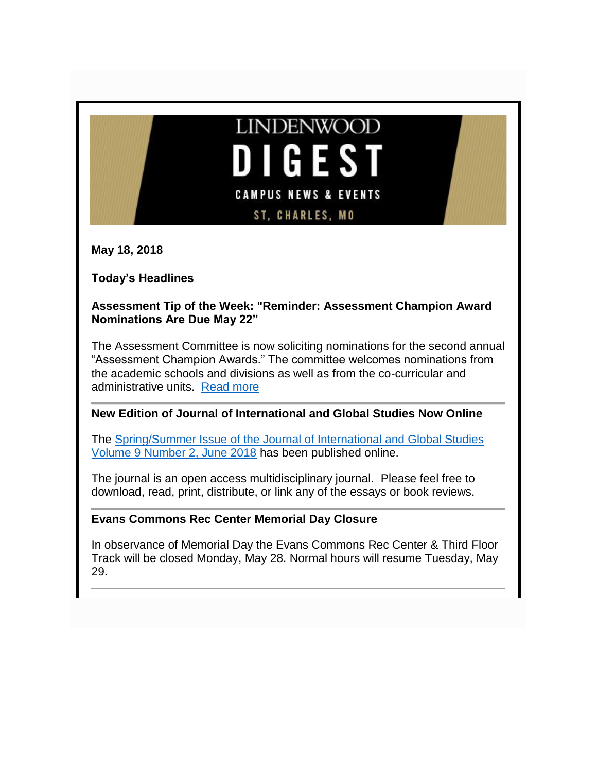

**May 18, 2018**

**Today's Headlines**

**Assessment Tip of the Week: "Reminder: Assessment Champion Award Nominations Are Due May 22"**

The Assessment Committee is now soliciting nominations for the second annual "Assessment Champion Awards." The committee welcomes nominations from the academic schools and divisions as well as from the co-curricular and administrative units. [Read more](http://felix.lindenwood.edu/newsletter/2018_05/tip_may18.pdf)

## **New Edition of Journal of International and Global Studies Now Online**

The [Spring/Summer Issue of the Journal of International and Global Studies](http://www.lindenwood.edu/academics/beyond-the-classroom/publications/journal-of-international-global-studies/all-issues/volume-9-number-2/)  [Volume 9 Number 2, June 2018](http://www.lindenwood.edu/academics/beyond-the-classroom/publications/journal-of-international-global-studies/all-issues/volume-9-number-2/) has been published online.

The journal is an open access multidisciplinary journal. Please feel free to download, read, print, distribute, or link any of the essays or book reviews.

## **Evans Commons Rec Center Memorial Day Closure**

In observance of Memorial Day the Evans Commons Rec Center & Third Floor Track will be closed Monday, May 28. Normal hours will resume Tuesday, May 29.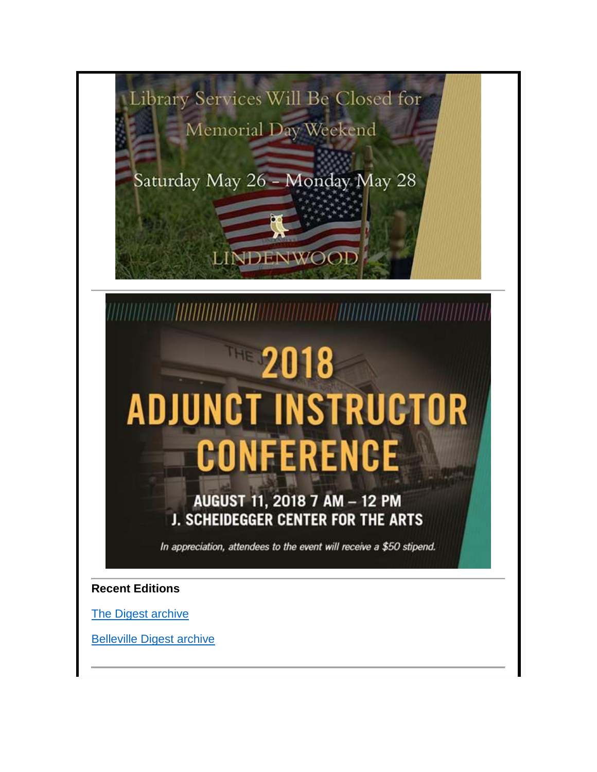